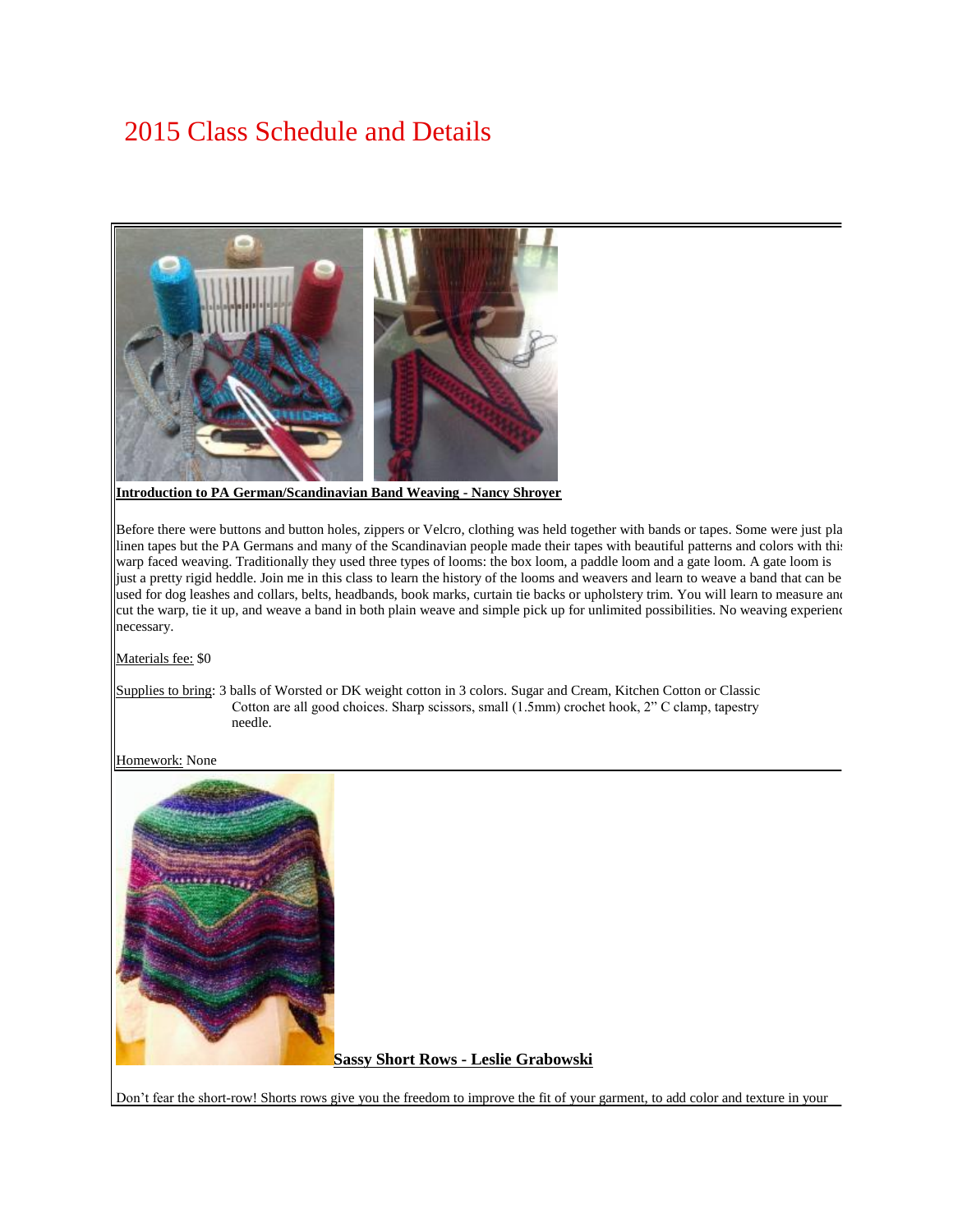# 2015 Class Schedule and Details



**Introduction to PA German/Scandinavian Band Weaving - Nancy Shroyer**

Before there were buttons and button holes, zippers or Velcro, clothing was held together with bands or tapes. Some were just plain linen tapes but the PA Germans and many of the Scandinavian people made their tapes with beautiful patterns and colors with this warp faced weaving. Traditionally they used three types of looms: the box loom, a paddle loom and a gate loom. A gate loom is just a pretty rigid heddle. Join me in this class to learn the history of the looms and weavers and learn to weave a band that can be used for dog leashes and collars, belts, headbands, book marks, curtain tie backs or upholstery trim. You will learn to measure and cut the warp, tie it up, and weave a band in both plain weave and simple pick up for unlimited possibilities. No weaving experience necessary.

Materials fee: \$0

Supplies to bring: 3 balls of Worsted or DK weight cotton in 3 colors. Sugar and Cream, Kitchen Cotton or Classic Cotton are all good choices. Sharp scissors, small (1.5mm) crochet hook, 2" C clamp, tapestry needle.

#### Homework: None



**Sassy Short Rows - Leslie Grabowski**

Don't fear the short-row! Shorts rows give you the freedom to improve the fit of your garment, to add color and texture in your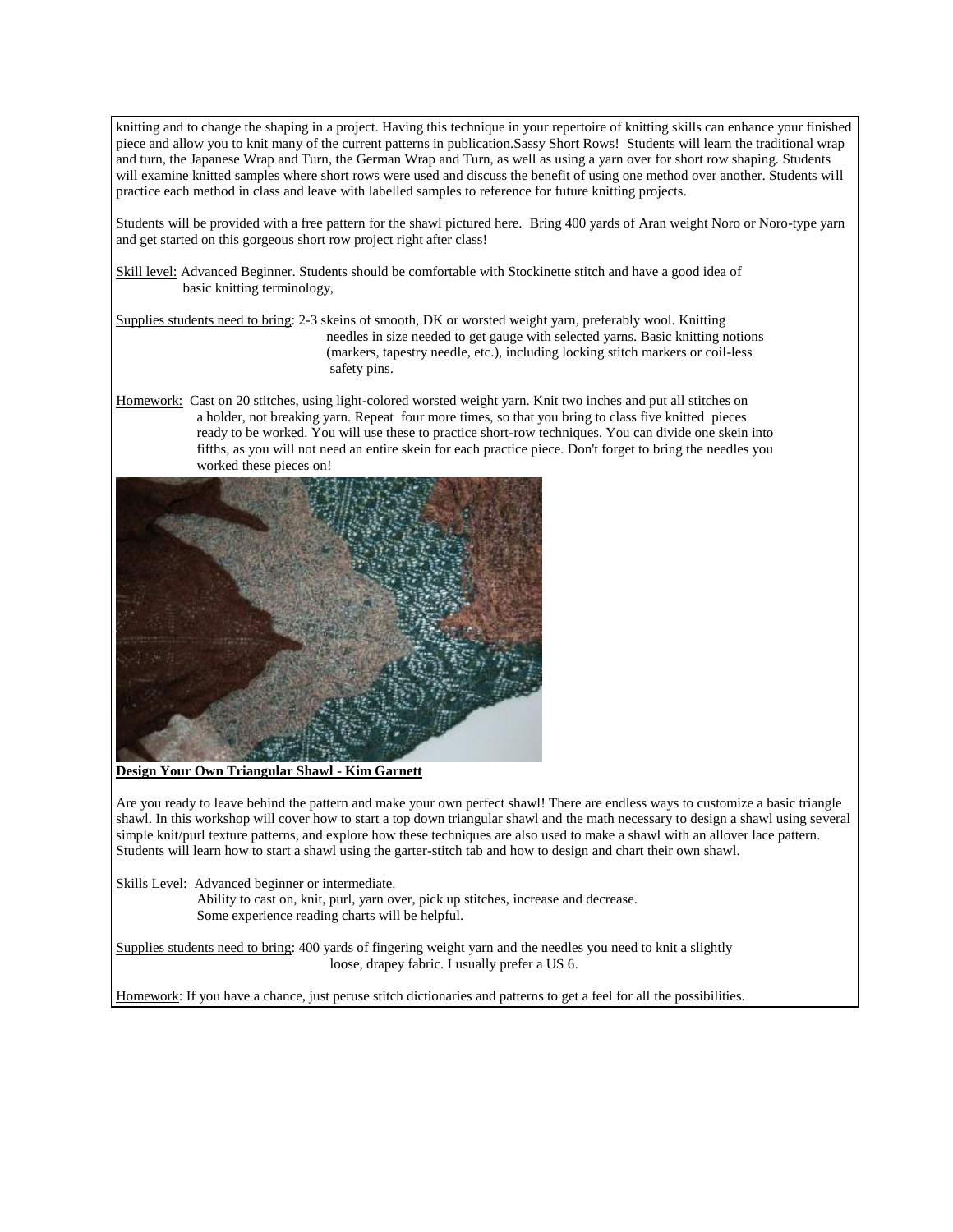knitting and to change the shaping in a project. Having this technique in your repertoire of knitting skills can enhance your finished piece and allow you to knit many of the current patterns in publication.Sassy Short Rows! Students will learn the traditional wrap and turn, the Japanese Wrap and Turn, the German Wrap and Turn, as well as using a yarn over for short row shaping. Students will examine knitted samples where short rows were used and discuss the benefit of using one method over another. Students will practice each method in class and leave with labelled samples to reference for future knitting projects.

Students will be provided with a free pattern for the shawl pictured here. Bring 400 yards of Aran weight Noro or Noro-type yarn and get started on this gorgeous short row project right after class!

Skill level: Advanced Beginner. Students should be comfortable with Stockinette stitch and have a good idea of basic knitting terminology,

Supplies students need to bring: 2-3 skeins of smooth, DK or worsted weight yarn, preferably wool. Knitting needles in size needed to get gauge with selected yarns. Basic knitting notions (markers, tapestry needle, etc.), including locking stitch markers or coil-less safety pins.

Homework: Cast on 20 stitches, using light-colored worsted weight yarn. Knit two inches and put all stitches on a holder, not breaking yarn. Repeat four more times, so that you bring to class five knitted pieces ready to be worked. You will use these to practice short-row techniques. You can divide one skein into fifths, as you will not need an entire skein for each practice piece. Don't forget to bring the needles you worked these pieces on!



**Design Your Own Triangular Shawl - Kim Garnett**

Are you ready to leave behind the pattern and make your own perfect shawl! There are endless ways to customize a basic triangle shawl. In this workshop will cover how to start a top down triangular shawl and the math necessary to design a shawl using several simple knit/purl texture patterns, and explore how these techniques are also used to make a shawl with an allover lace pattern. Students will learn how to start a shawl using the garter-stitch tab and how to design and chart their own shawl.

Skills Level: Advanced beginner or intermediate.

 Ability to cast on, knit, purl, yarn over, pick up stitches, increase and decrease. Some experience reading charts will be helpful.

Supplies students need to bring: 400 yards of fingering weight yarn and the needles you need to knit a slightly loose, drapey fabric. I usually prefer a US 6.

Homework: If you have a chance, just peruse stitch dictionaries and patterns to get a feel for all the possibilities.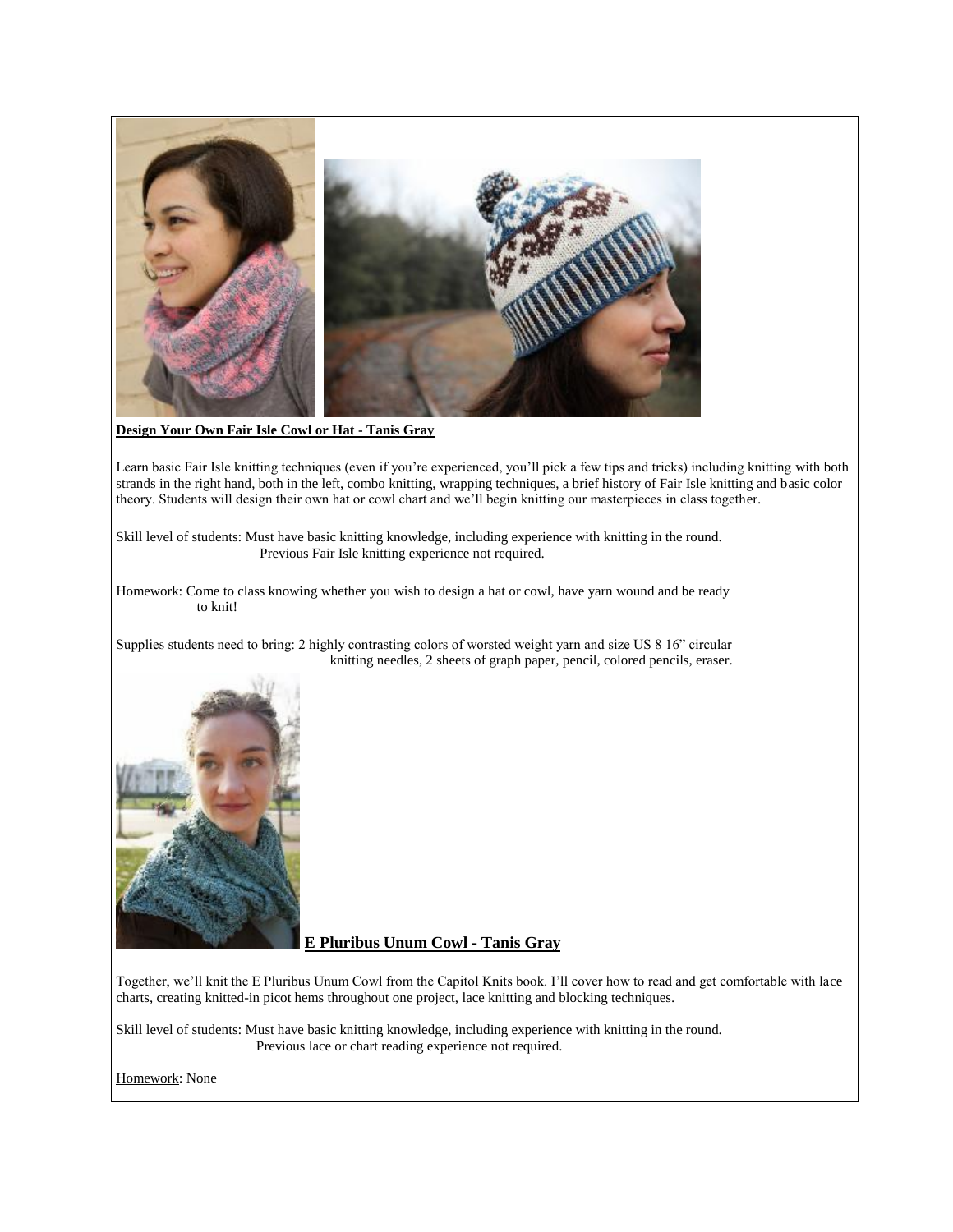

**Design Your Own Fair Isle Cowl or Hat - Tanis Gray**

Learn basic Fair Isle knitting techniques (even if you're experienced, you'll pick a few tips and tricks) including knitting with both strands in the right hand, both in the left, combo knitting, wrapping techniques, a brief history of Fair Isle knitting and basic color theory. Students will design their own hat or cowl chart and we'll begin knitting our masterpieces in class together.

Skill level of students: Must have basic knitting knowledge, including experience with knitting in the round. Previous Fair Isle knitting experience not required.

Homework: Come to class knowing whether you wish to design a hat or cowl, have yarn wound and be ready to knit!

Supplies students need to bring: 2 highly contrasting colors of worsted weight yarn and size US 8 16" circular knitting needles, 2 sheets of graph paper, pencil, colored pencils, eraser.



**E Pluribus Unum Cowl - Tanis Gray**

Together, we'll knit the E Pluribus Unum Cowl from the Capitol Knits book. I'll cover how to read and get comfortable with lace charts, creating knitted-in picot hems throughout one project, lace knitting and blocking techniques.

Skill level of students: Must have basic knitting knowledge, including experience with knitting in the round. Previous lace or chart reading experience not required.

Homework: None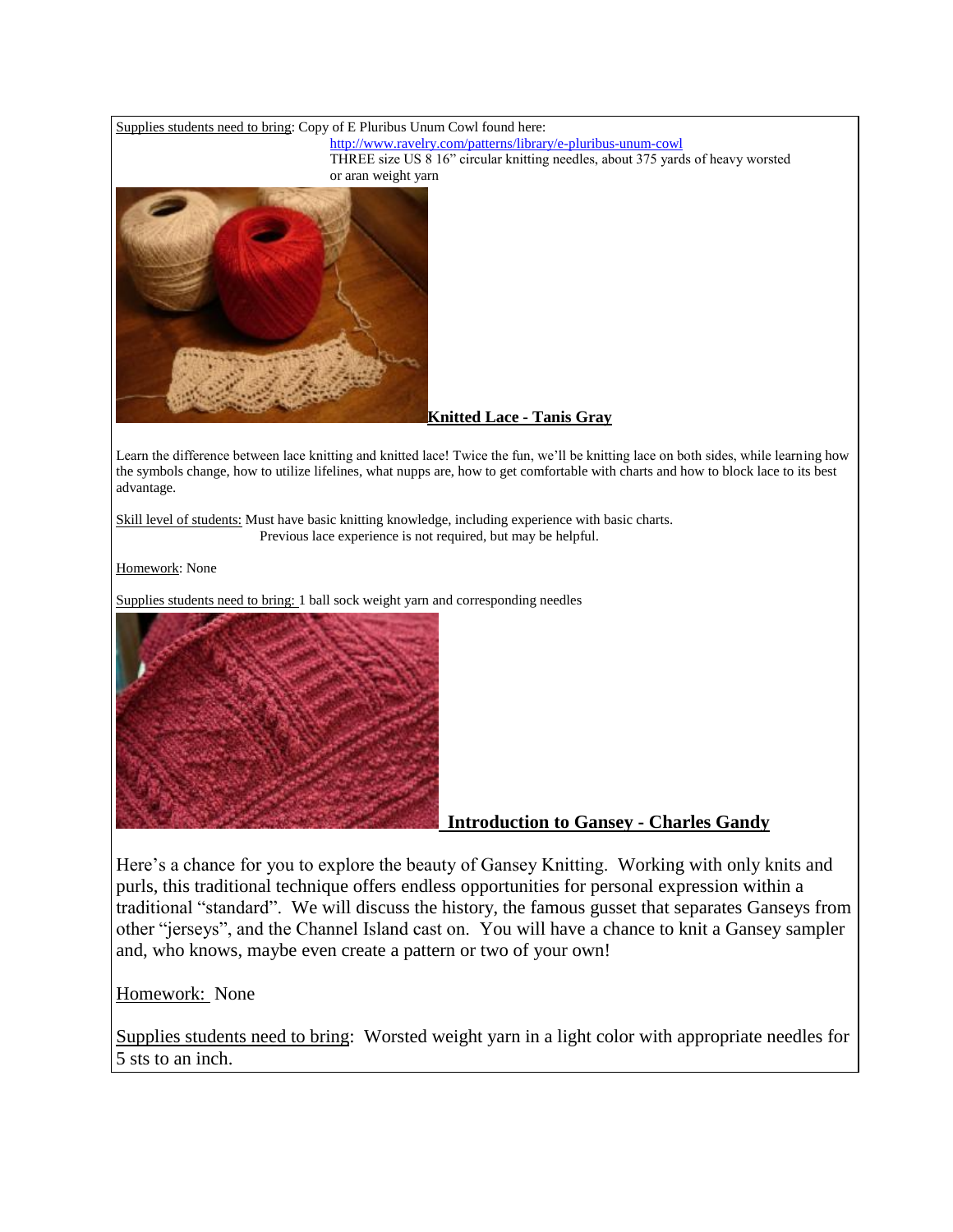

Here's a chance for you to explore the beauty of Gansey Knitting. Working with only knits and purls, this traditional technique offers endless opportunities for personal expression within a traditional "standard". We will discuss the history, the famous gusset that separates Ganseys from other "jerseys", and the Channel Island cast on. You will have a chance to knit a Gansey sampler and, who knows, maybe even create a pattern or two of your own!

Homework: None

Supplies students need to bring: Worsted weight yarn in a light color with appropriate needles for 5 sts to an inch.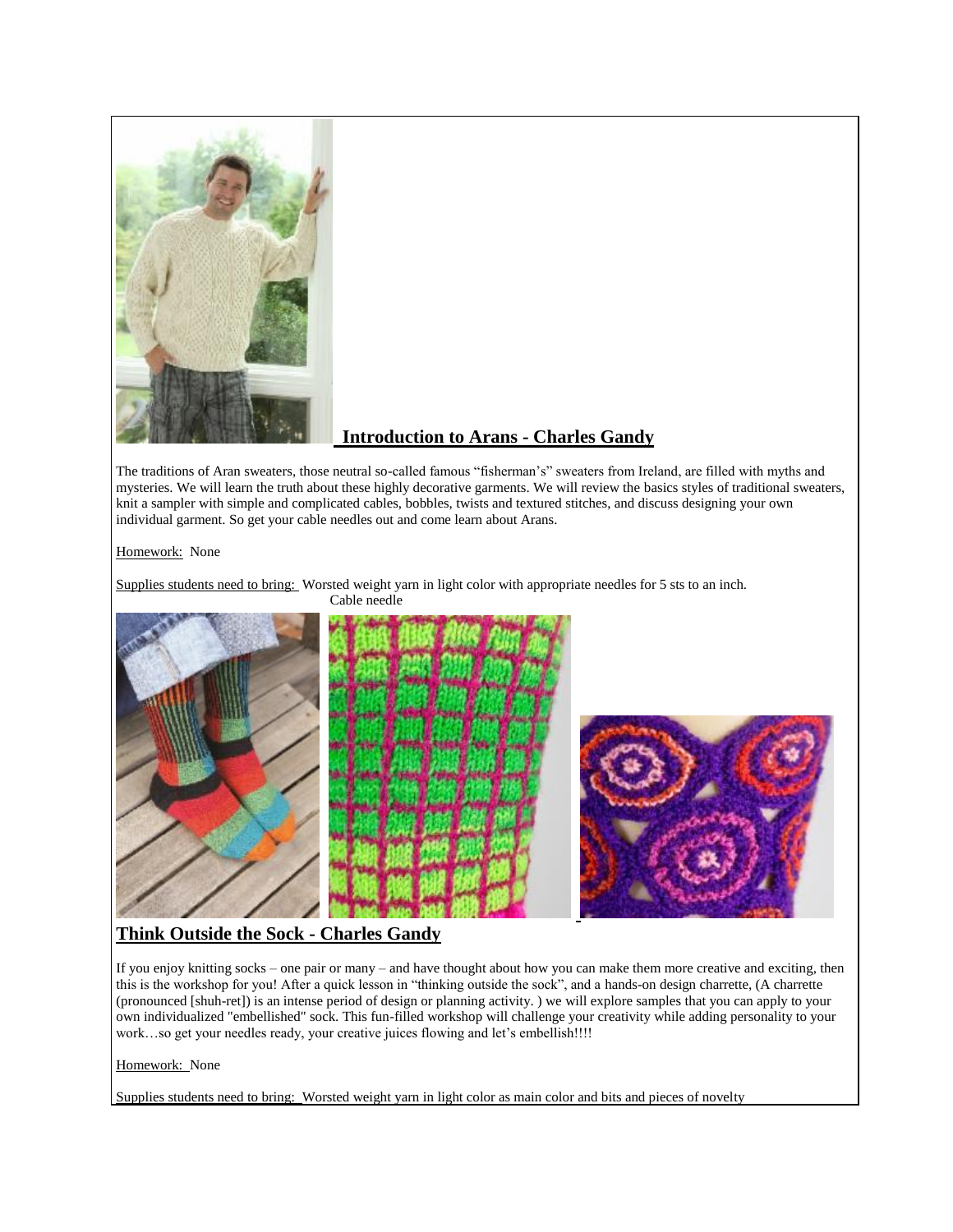

# **Introduction to Arans - Charles Gandy**

The traditions of Aran sweaters, those neutral so-called famous "fisherman's" sweaters from Ireland, are filled with myths and mysteries. We will learn the truth about these highly decorative garments. We will review the basics styles of traditional sweaters, knit a sampler with simple and complicated cables, bobbles, twists and textured stitches, and discuss designing your own individual garment. So get your cable needles out and come learn about Arans.

Homework: None

Supplies students need to bring: Worsted weight yarn in light color with appropriate needles for 5 sts to an inch.



# **Think Outside the Sock - Charles Gandy**

If you enjoy knitting socks – one pair or many – and have thought about how you can make them more creative and exciting, then this is the workshop for you! After a quick lesson in "thinking outside the sock", and a hands-on design charrette, (A charrette (pronounced [shuh-ret]) is an intense period of design or planning activity. ) we will explore samples that you can apply to your own individualized "embellished" sock. This fun-filled workshop will challenge your creativity while adding personality to your work...so get your needles ready, your creative juices flowing and let's embellish!!!!

#### Homework: None

Supplies students need to bring: Worsted weight yarn in light color as main color and bits and pieces of novelty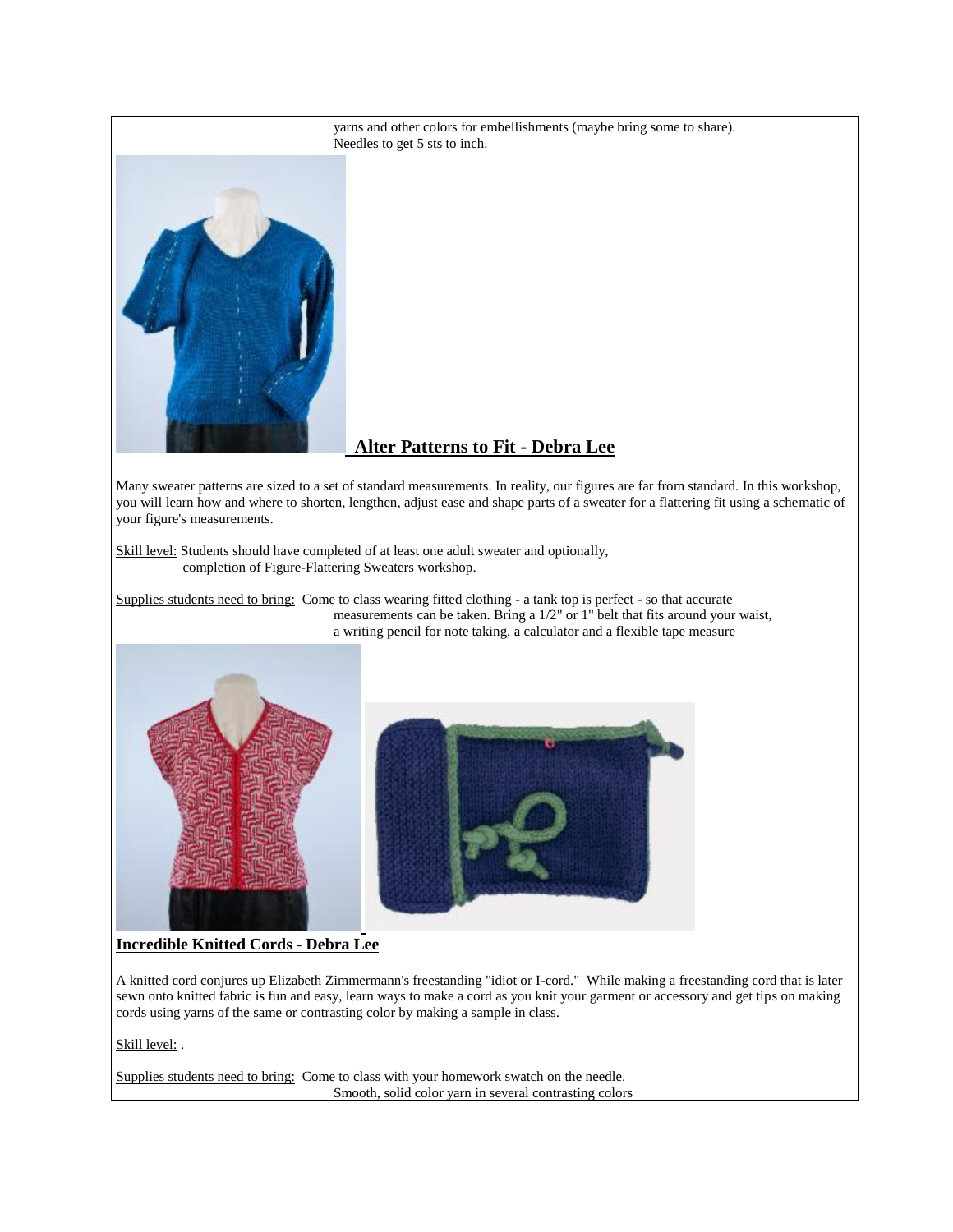

## **Alter Patterns to Fit - Debra Lee**

Many sweater patterns are sized to a set of standard measurements. In reality, our figures are far from standard. In this workshop, you will learn how and where to shorten, lengthen, adjust ease and shape parts of a sweater for a flattering fit using a schematic of your figure's measurements.

Skill level: Students should have completed of at least one adult sweater and optionally, completion of Figure-Flattering Sweaters workshop.

Supplies students need to bring: Come to class wearing fitted clothing - a tank top is perfect - so that accurate measurements can be taken. Bring a 1/2" or 1" belt that fits around your waist, a writing pencil for note taking, a calculator and a flexible tape measure





### **Incredible Knitted Cords - Debra Lee**

A knitted cord conjures up Elizabeth Zimmermann's freestanding "idiot or I-cord." While making a freestanding cord that is later sewn onto knitted fabric is fun and easy, learn ways to make a cord as you knit your garment or accessory and get tips on making cords using yarns of the same or contrasting color by making a sample in class.

Skill level: .

Supplies students need to bring: Come to class with your homework swatch on the needle. Smooth, solid color yarn in several contrasting colors